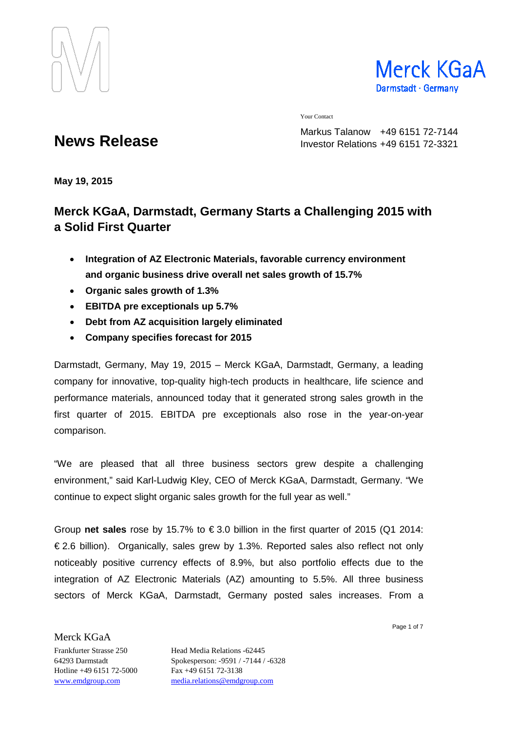



Your Contact

Markus Talanow +49 6151 72-7144 Investor Relations +49 6151 72-3321

# **News Release**

**May 19, 2015**

## **Merck KGaA, Darmstadt, Germany Starts a Challenging 2015 with a Solid First Quarter**

- **Integration of AZ Electronic Materials, favorable currency environment and organic business drive overall net sales growth of 15.7%**
- **Organic sales growth of 1.3%**
- **EBITDA pre exceptionals up 5.7%**
- **Debt from AZ acquisition largely eliminated**
- **Company specifies forecast for 2015**

Darmstadt, Germany, May 19, 2015 – Merck KGaA, Darmstadt, Germany, a leading company for innovative, top-quality high-tech products in healthcare, life science and performance materials, announced today that it generated strong sales growth in the first quarter of 2015. EBITDA pre exceptionals also rose in the year-on-year comparison.

"We are pleased that all three business sectors grew despite a challenging environment," said Karl-Ludwig Kley, CEO of Merck KGaA, Darmstadt, Germany. "We continue to expect slight organic sales growth for the full year as well."

Group **net sales** rose by 15.7% to € 3.0 billion in the first quarter of 2015 (Q1 2014: € 2.6 billion). Organically, sales grew by 1.3%. Reported sales also reflect not only noticeably positive currency effects of 8.9%, but also portfolio effects due to the integration of AZ Electronic Materials (AZ) amounting to 5.5%. All three business sectors of Merck KGaA, Darmstadt, Germany posted sales increases. From a

Page 1 of 7

Hotline +49 6151 72-5000 Fax +49 6151 72-3138

Merck KGaA

Frankfurter Strasse 250 Head Media Relations -62445 64293 Darmstadt Spokesperson: -9591 / -7144 / -6328 [www.emdgroup.com](http://www.emdgroup.com/) [media.relations@emdgroup.com](mailto:media.relations@emdgroup.com)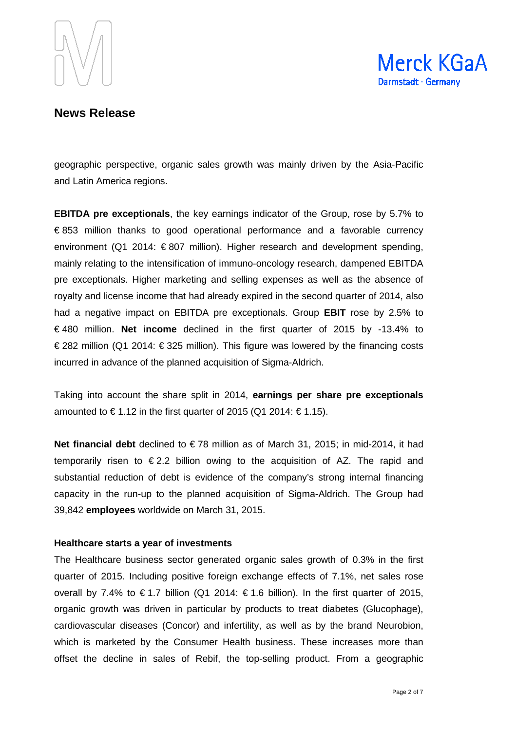



geographic perspective, organic sales growth was mainly driven by the Asia-Pacific and Latin America regions.

**EBITDA pre exceptionals**, the key earnings indicator of the Group, rose by 5.7% to € 853 million thanks to good operational performance and a favorable currency environment (Q1 2014: € 807 million). Higher research and development spending, mainly relating to the intensification of immuno-oncology research, dampened EBITDA pre exceptionals. Higher marketing and selling expenses as well as the absence of royalty and license income that had already expired in the second quarter of 2014, also had a negative impact on EBITDA pre exceptionals. Group **EBIT** rose by 2.5% to € 480 million. **Net income** declined in the first quarter of 2015 by -13.4% to € 282 million (Q1 2014: € 325 million). This figure was lowered by the financing costs incurred in advance of the planned acquisition of Sigma-Aldrich.

Taking into account the share split in 2014, **earnings per share pre exceptionals** amounted to €1.12 in the first quarter of 2015 (Q1 2014:  $€1.15$ ).

**Net financial debt** declined to €78 million as of March 31, 2015; in mid-2014, it had temporarily risen to  $\epsilon$ 2.2 billion owing to the acquisition of AZ. The rapid and substantial reduction of debt is evidence of the company's strong internal financing capacity in the run-up to the planned acquisition of Sigma-Aldrich. The Group had 39,842 **employees** worldwide on March 31, 2015.

#### **Healthcare starts a year of investments**

The Healthcare business sector generated organic sales growth of 0.3% in the first quarter of 2015. Including positive foreign exchange effects of 7.1%, net sales rose overall by 7.4% to €1.7 billion (Q1 2014: €1.6 billion). In the first quarter of 2015, organic growth was driven in particular by products to treat diabetes (Glucophage), cardiovascular diseases (Concor) and infertility, as well as by the brand Neurobion, which is marketed by the Consumer Health business. These increases more than offset the decline in sales of Rebif, the top-selling product. From a geographic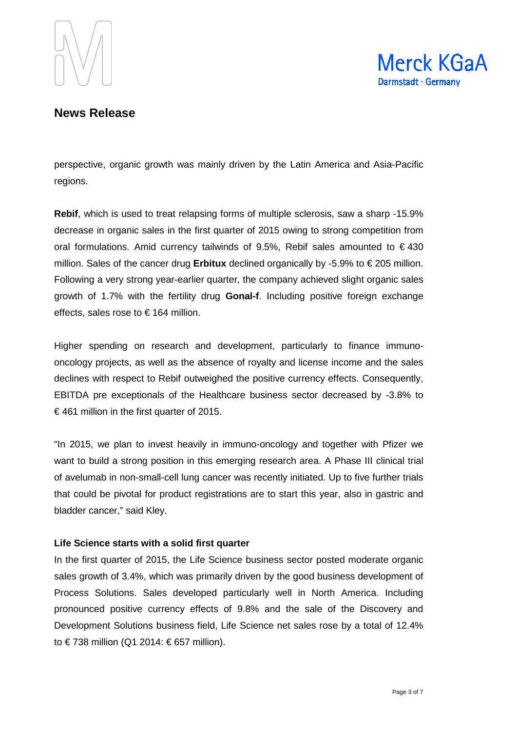



perspective, organic growth was mainly driven by the Latin America and Asia-Pacific regions.

**Rebif**, which is used to treat relapsing forms of multiple sclerosis, saw a sharp -15.9% decrease in organic sales in the first quarter of 2015 owing to strong competition from oral formulations. Amid currency tailwinds of 9.5%, Rebif sales amounted to € 430 million. Sales of the cancer drug **Erbitux** declined organically by -5.9% to  $\epsilon$  205 million. Following a very strong year-earlier quarter, the company achieved slight organic sales growth of 1.7% with the fertility drug **Gonal-f**. Including positive foreign exchange effects, sales rose to  $\epsilon$  164 million.

Higher spending on research and development, particularly to finance immunooncology projects, as well as the absence of royalty and license income and the sales declines with respect to Rebif outweighed the positive currency effects. Consequently, EBITDA pre exceptionals of the Healthcare business sector decreased by -3.8% to €461 million in the first quarter of 2015.

"In 2015, we plan to invest heavily in immuno-oncology and together with Pfizer we want to build a strong position in this emerging research area. A Phase III clinical trial of avelumab in non-small-cell lung cancer was recently initiated. Up to five further trials that could be pivotal for product registrations are to start this year, also in gastric and bladder cancer," said Kley.

#### **Life Science starts with a solid first quarter**

In the first quarter of 2015, the Life Science business sector posted moderate organic sales growth of 3.4%, which was primarily driven by the good business development of Process Solutions. Sales developed particularly well in North America. Including pronounced positive currency effects of 9.8% and the sale of the Discovery and Development Solutions business field, Life Science net sales rose by a total of 12.4% to € 738 million (Q1 2014: € 657 million).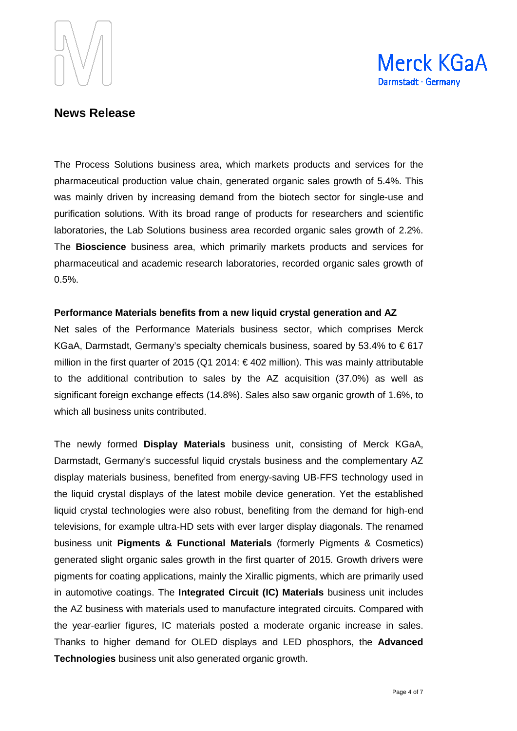



The Process Solutions business area, which markets products and services for the pharmaceutical production value chain, generated organic sales growth of 5.4%. This was mainly driven by increasing demand from the biotech sector for single-use and purification solutions. With its broad range of products for researchers and scientific laboratories, the Lab Solutions business area recorded organic sales growth of 2.2%. The **Bioscience** business area, which primarily markets products and services for pharmaceutical and academic research laboratories, recorded organic sales growth of 0.5%.

#### **Performance Materials benefits from a new liquid crystal generation and AZ**

Net sales of the Performance Materials business sector, which comprises Merck KGaA, Darmstadt, Germany's specialty chemicals business, soared by 53.4% to  $\epsilon$ 617 million in the first quarter of 2015 (Q1 2014:  $\epsilon$ 402 million). This was mainly attributable to the additional contribution to sales by the AZ acquisition (37.0%) as well as significant foreign exchange effects (14.8%). Sales also saw organic growth of 1.6%, to which all business units contributed.

The newly formed **Display Materials** business unit, consisting of Merck KGaA, Darmstadt, Germany's successful liquid crystals business and the complementary AZ display materials business, benefited from energy-saving UB-FFS technology used in the liquid crystal displays of the latest mobile device generation. Yet the established liquid crystal technologies were also robust, benefiting from the demand for high-end televisions, for example ultra-HD sets with ever larger display diagonals. The renamed business unit **Pigments & Functional Materials** (formerly Pigments & Cosmetics) generated slight organic sales growth in the first quarter of 2015. Growth drivers were pigments for coating applications, mainly the Xirallic pigments, which are primarily used in automotive coatings. The **Integrated Circuit (IC) Materials** business unit includes the AZ business with materials used to manufacture integrated circuits. Compared with the year-earlier figures, IC materials posted a moderate organic increase in sales. Thanks to higher demand for OLED displays and LED phosphors, the **Advanced Technologies** business unit also generated organic growth.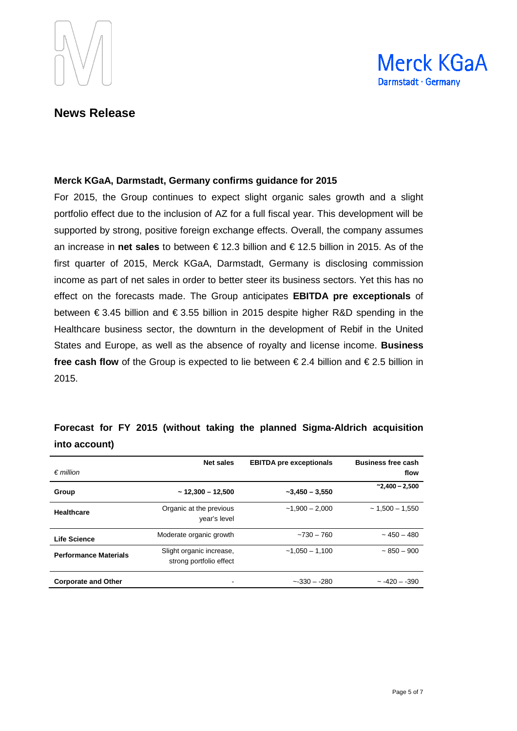



#### **Merck KGaA, Darmstadt, Germany confirms guidance for 2015**

For 2015, the Group continues to expect slight organic sales growth and a slight portfolio effect due to the inclusion of AZ for a full fiscal year. This development will be supported by strong, positive foreign exchange effects. Overall, the company assumes an increase in **net sales** to between € 12.3 billion and € 12.5 billion in 2015. As of the first quarter of 2015, Merck KGaA, Darmstadt, Germany is disclosing commission income as part of net sales in order to better steer its business sectors. Yet this has no effect on the forecasts made. The Group anticipates **EBITDA pre exceptionals** of between € 3.45 billion and € 3.55 billion in 2015 despite higher R&D spending in the Healthcare business sector, the downturn in the development of Rebif in the United States and Europe, as well as the absence of royalty and license income. **Business free cash flow** of the Group is expected to lie between € 2.4 billion and € 2.5 billion in 2015.

| $\epsilon$ million           | <b>Net sales</b>                                    | <b>EBITDA</b> pre exceptionals | <b>Business free cash</b><br>flow |
|------------------------------|-----------------------------------------------------|--------------------------------|-----------------------------------|
| Group                        | $~12,300 - 12,500$                                  | $-3,450 - 3,550$               | $^{\sim}$ 2,400 - 2,500           |
| <b>Healthcare</b>            | Organic at the previous<br>year's level             | $-1.900 - 2.000$               | $\sim$ 1.500 $-$ 1.550            |
| Life Science                 | Moderate organic growth                             | $-730 - 760$                   | $\sim$ 450 – 480                  |
| <b>Performance Materials</b> | Slight organic increase,<br>strong portfolio effect | $-1.050 - 1.100$               | $~1.850 - 900$                    |
| <b>Corporate and Other</b>   |                                                     | $-330 - 280$                   | $\sim -420 - -390$                |

## **Forecast for FY 2015 (without taking the planned Sigma-Aldrich acquisition into account)**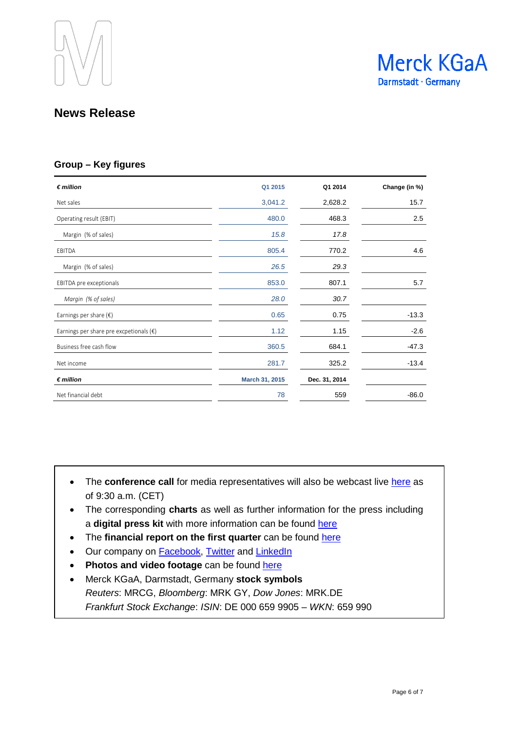



#### **Group – Key figures**

| $\notin$ million                                 | Q1 2015        | Q1 2014       | Change (in %) |
|--------------------------------------------------|----------------|---------------|---------------|
| Net sales                                        | 3,041.2        | 2,628.2       | 15.7          |
| Operating result (EBIT)                          | 480.0          | 468.3         | 2.5           |
| Margin (% of sales)                              | 15.8           | 17.8          |               |
| EBITDA                                           | 805.4          | 770.2         | 4.6           |
| Margin (% of sales)                              | 26.5           | 29.3          |               |
| EBITDA pre exceptionals                          | 853.0          | 807.1         | 5.7           |
| Margin (% of sales)                              | 28.0           | 30.7          |               |
| Earnings per share $(\epsilon)$                  | 0.65           | 0.75          | $-13.3$       |
| Earnings per share pre excpetionals $(\epsilon)$ | 1.12           | 1.15          | $-2.6$        |
| Business free cash flow                          | 360.5          | 684.1         | $-47.3$       |
| Net income                                       | 281.7          | 325.2         | $-13.4$       |
| $\n  million\n$                                  | March 31, 2015 | Dec. 31, 2014 |               |
| Net financial debt                               | 78             | 559           | $-86.0$       |

- The **conference call** for media representatives will also be webcast live [here](http://www.emdgroup.com/results) as of 9:30 a.m. (CET)
- The corresponding **charts** as well as further information for the press including a digital press kit with more information can be found [here](http://www.emdgroup.com/results)
- The **financial report on the first quarter** can be found [here](http://www.emdgroup.com/results)
- Our company on **Facebook**, [Twitter](https://twitter.com/EMDGroup) and [LinkedIn](http://www.linkedin.com/company/emd-affiliates-of-merck-kgaa-darmstadt-germany)
- **Photos and video footage** can be found [here](http://www.emdgroup.com/emd/media/download_library/download_library.html?firstLogin=true)
- Merck KGaA, Darmstadt, Germany **stock symbols** *Reuters*: MRCG, *Bloomberg*: MRK GY, *Dow Jones*: MRK.DE *Frankfurt Stock Exchange*: *ISIN*: DE 000 659 9905 – *WKN*: 659 990